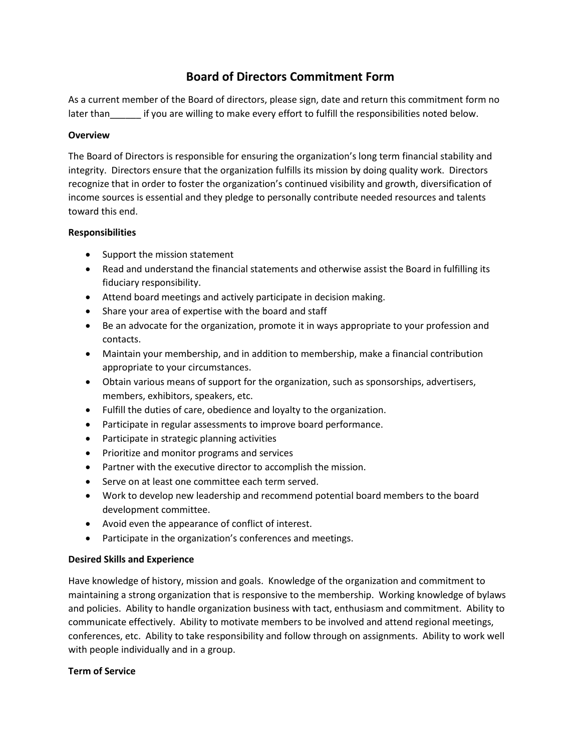# **Board of Directors Commitment Form**

As a current member of the Board of directors, please sign, date and return this commitment form no later than if you are willing to make every effort to fulfill the responsibilities noted below.

### **Overview**

The Board of Directors is responsible for ensuring the organization's long term financial stability and integrity. Directors ensure that the organization fulfills its mission by doing quality work. Directors recognize that in order to foster the organization's continued visibility and growth, diversification of income sources is essential and they pledge to personally contribute needed resources and talents toward this end.

# **Responsibilities**

- Support the mission statement
- Read and understand the financial statements and otherwise assist the Board in fulfilling its fiduciary responsibility.
- Attend board meetings and actively participate in decision making.
- Share your area of expertise with the board and staff
- Be an advocate for the organization, promote it in ways appropriate to your profession and contacts.
- Maintain your membership, and in addition to membership, make a financial contribution appropriate to your circumstances.
- Obtain various means of support for the organization, such as sponsorships, advertisers, members, exhibitors, speakers, etc.
- Fulfill the duties of care, obedience and loyalty to the organization.
- Participate in regular assessments to improve board performance.
- Participate in strategic planning activities
- Prioritize and monitor programs and services
- Partner with the executive director to accomplish the mission.
- Serve on at least one committee each term served.
- Work to develop new leadership and recommend potential board members to the board development committee.
- Avoid even the appearance of conflict of interest.
- Participate in the organization's conferences and meetings.

# **Desired Skills and Experience**

Have knowledge of history, mission and goals. Knowledge of the organization and commitment to maintaining a strong organization that is responsive to the membership. Working knowledge of bylaws and policies. Ability to handle organization business with tact, enthusiasm and commitment. Ability to communicate effectively. Ability to motivate members to be involved and attend regional meetings, conferences, etc. Ability to take responsibility and follow through on assignments. Ability to work well with people individually and in a group.

# **Term of Service**